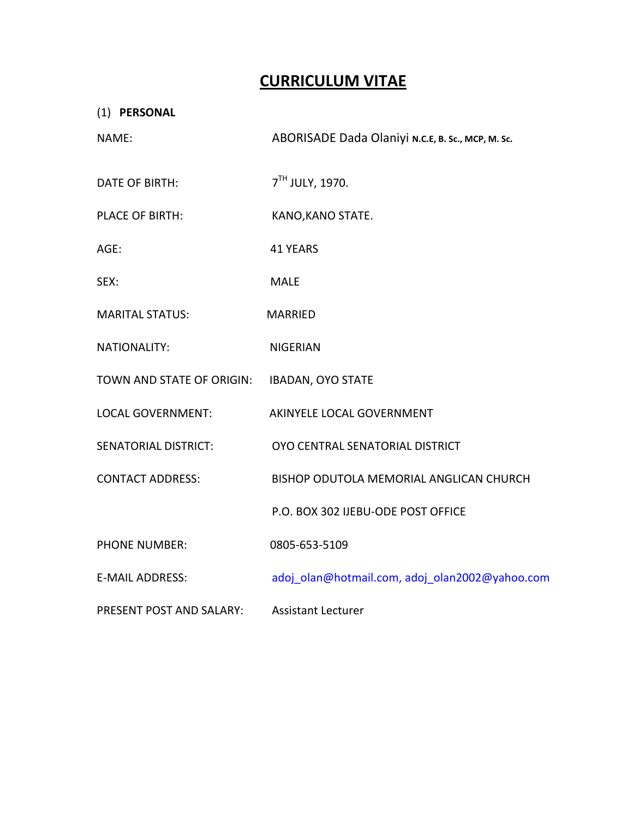# **CURRICULUM VITAE**

| (1) PERSONAL                |                                                   |
|-----------------------------|---------------------------------------------------|
| NAME:                       | ABORISADE Dada Olaniyi N.C.E, B. Sc., MCP, M. Sc. |
| DATE OF BIRTH:              | 7 <sup>TH</sup> JULY, 1970.                       |
| <b>PLACE OF BIRTH:</b>      | KANO, KANO STATE.                                 |
| AGE:                        | <b>41 YEARS</b>                                   |
| SEX:                        | <b>MALE</b>                                       |
| <b>MARITAL STATUS:</b>      | <b>MARRIED</b>                                    |
| <b>NATIONALITY:</b>         | <b>NIGERIAN</b>                                   |
| TOWN AND STATE OF ORIGIN:   | <b>IBADAN, OYO STATE</b>                          |
| <b>LOCAL GOVERNMENT:</b>    | AKINYELE LOCAL GOVERNMENT                         |
| <b>SENATORIAL DISTRICT:</b> | OYO CENTRAL SENATORIAL DISTRICT                   |
| <b>CONTACT ADDRESS:</b>     | BISHOP ODUTOLA MEMORIAL ANGLICAN CHURCH           |
|                             | P.O. BOX 302 IJEBU-ODE POST OFFICE                |
| <b>PHONE NUMBER:</b>        | 0805-653-5109                                     |
| <b>E-MAIL ADDRESS:</b>      | adoj_olan@hotmail.com, adoj_olan2002@yahoo.com    |
| PRESENT POST AND SALARY:    | <b>Assistant Lecturer</b>                         |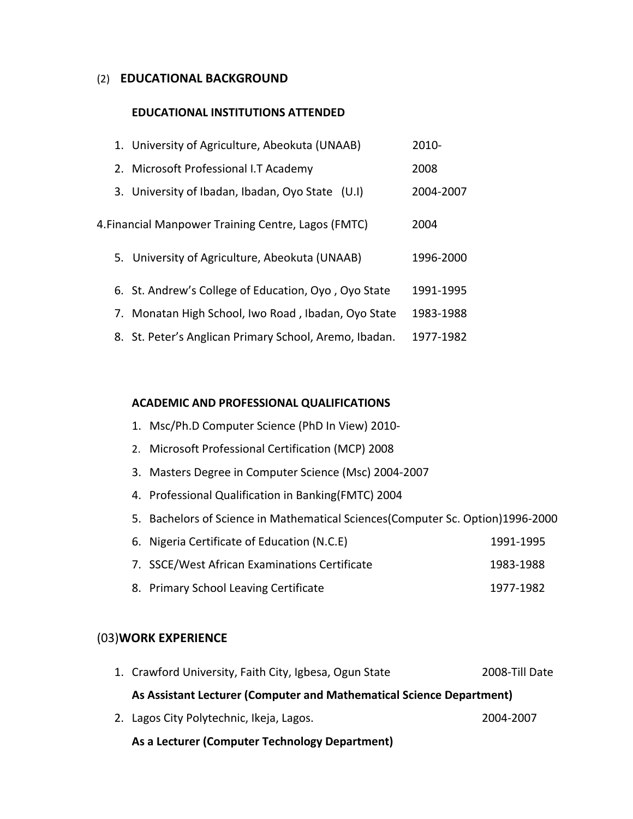#### (2) **EDUCATIONAL BACKGROUND**

#### **EDUCATIONAL INSTITUTIONS ATTENDED**

| 1. University of Agriculture, Abeokuta (UNAAB)         | 2010-     |
|--------------------------------------------------------|-----------|
| 2. Microsoft Professional I.T Academy                  | 2008      |
| 3. University of Ibadan, Ibadan, Oyo State (U.I)       | 2004-2007 |
| 4. Financial Manpower Training Centre, Lagos (FMTC)    | 2004      |
| 5. University of Agriculture, Abeokuta (UNAAB)         | 1996-2000 |
| 6. St. Andrew's College of Education, Oyo, Oyo State   | 1991-1995 |
| 7. Monatan High School, Iwo Road, Ibadan, Oyo State    | 1983-1988 |
| 8. St. Peter's Anglican Primary School, Aremo, Ibadan. | 1977-1982 |

#### **ACADEMIC AND PROFESSIONAL QUALIFICATIONS**

- 1. Msc/Ph.D Computer Science (PhD In View) 2010‐
- 2. Microsoft Professional Certification (MCP) 2008
- 3. Masters Degree in Computer Science (Msc) 2004‐2007
- 4. Professional Qualification in Banking(FMTC) 2004
- 5. Bachelors of Science in Mathematical Sciences(Computer Sc. Option)1996‐2000

| 6. Nigeria Certificate of Education (N.C.E)   | 1991-1995 |
|-----------------------------------------------|-----------|
| 7. SSCE/West African Examinations Certificate | 1983-1988 |

8. Primary School Leaving Certificate 1977‐1982

## (03)**WORK EXPERIENCE**

| 1. Crawford University, Faith City, Igbesa, Ogun State               | 2008-Till Date |  |  |  |
|----------------------------------------------------------------------|----------------|--|--|--|
| As Assistant Lecturer (Computer and Mathematical Science Department) |                |  |  |  |
| 2. Lagos City Polytechnic, Ikeja, Lagos.                             | 2004-2007      |  |  |  |
| As a Lecturer (Computer Technology Department)                       |                |  |  |  |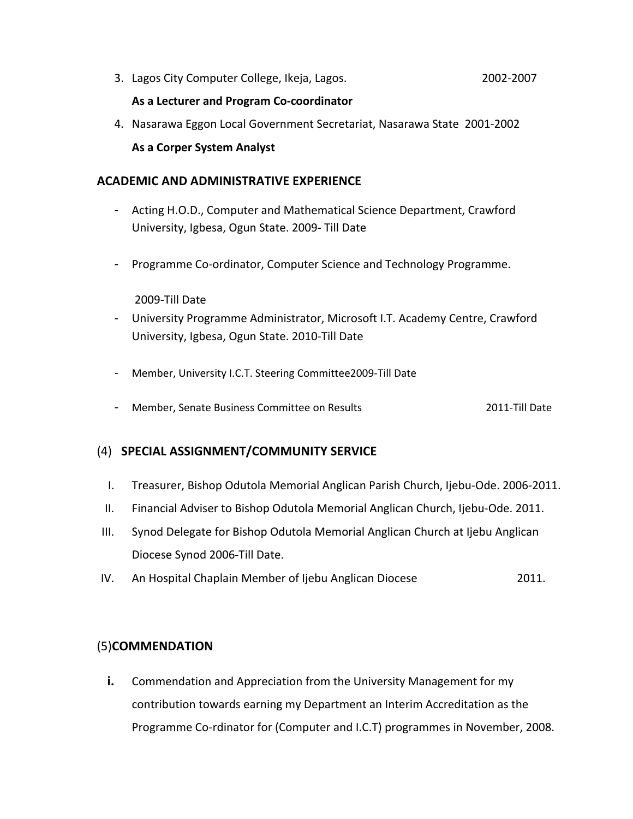3. Lagos City Computer College, Ikeja, Lagos. 2002‐2007

### **As a Lecturer and Program Co‐coordinator**

4. Nasarawa Eggon Local Government Secretariat, Nasarawa State 2001‐2002 **As a Corper System Analyst**

# **ACADEMIC AND ADMINISTRATIVE EXPERIENCE**

- ‐ Acting H.O.D., Computer and Mathematical Science Department, Crawford University, Igbesa, Ogun State. 2009‐ Till Date
- ‐ Programme Co‐ordinator, Computer Science and Technology Programme.

#### 2009‐Till Date

- ‐ University Programme Administrator, Microsoft I.T. Academy Centre, Crawford University, Igbesa, Ogun State. 2010‐Till Date
- ‐ Member, University I.C.T. Steering Committee2009‐Till Date
- ‐ Member, Senate Business Committee on Results 2011‐Till Date

# (4) **SPECIAL ASSIGNMENT/COMMUNITY SERVICE**

- I. Treasurer, Bishop Odutola Memorial Anglican Parish Church, Ijebu‐Ode. 2006‐2011.
- II. Financial Adviser to Bishop Odutola Memorial Anglican Church, Ijebu‐Ode. 2011.
- III. Synod Delegate for Bishop Odutola Memorial Anglican Church at Ijebu Anglican Diocese Synod 2006‐Till Date.
- IV. An Hospital Chaplain Member of Ijebu Anglican Diocese 2011.

### (5)**COMMENDATION**

**i.** Commendation and Appreciation from the University Management for my contribution towards earning my Department an Interim Accreditation as the Programme Co‐rdinator for (Computer and I.C.T) programmes in November, 2008.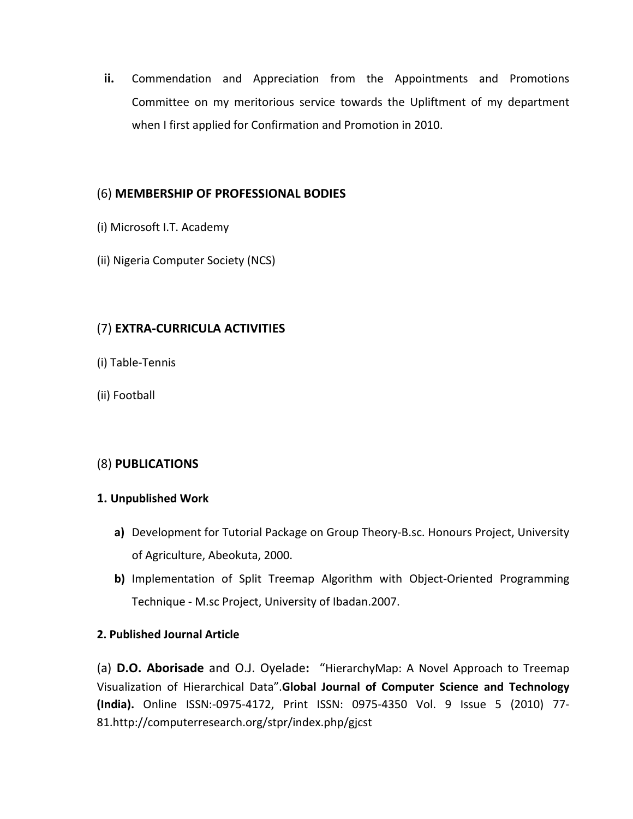**ii.** Commendation and Appreciation from the Appointments and Promotions Committee on my meritorious service towards the Upliftment of my department when I first applied for Confirmation and Promotion in 2010.

# (6) **MEMBERSHIP OF PROFESSIONAL BODIES**

- (i) Microsoft I.T. Academy
- (ii) Nigeria Computer Society (NCS)

# (7) **EXTRA‐CURRICULA ACTIVITIES**

- (i) Table‐Tennis
- (ii) Football

# (8) **PUBLICATIONS**

### **1. Unpublished Work**

- **a)** Development for Tutorial Package on Group Theory‐B.sc. Honours Project, University of Agriculture, Abeokuta, 2000.
- **b)** Implementation of Split Treemap Algorithm with Object-Oriented Programming Technique ‐ M.sc Project, University of Ibadan.2007.

# **2. Published Journal Article**

(a) **D.O. Aborisade** and O.J. Oyelade**:** "HierarchyMap: A Novel Approach to Treemap Visualization of Hierarchical Data".**Global Journal of Computer Science and Technology (India).** Online ISSN:‐0975‐4172, Print ISSN: 0975‐4350 Vol. 9 Issue 5 (2010) 77‐ 81.http://computerresearch.org/stpr/index.php/gjcst